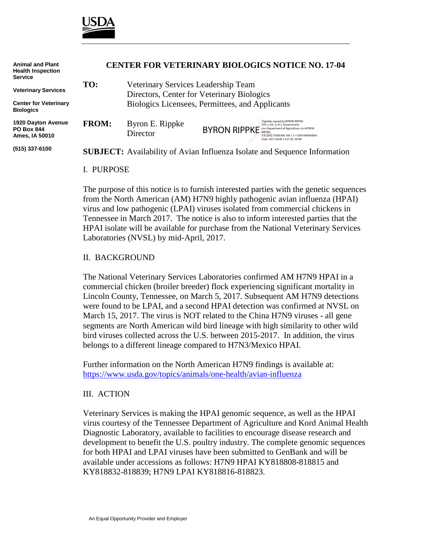

| <b>Animal and Plant</b><br><b>Health Inspection</b><br><b>Service</b> | <b>CENTER FOR VETERINARY BIOLOGICS NOTICE NO. 17-04</b> |                                                                                   |                     |                                                                                                                                                   |
|-----------------------------------------------------------------------|---------------------------------------------------------|-----------------------------------------------------------------------------------|---------------------|---------------------------------------------------------------------------------------------------------------------------------------------------|
| <b>Veterinary Services</b>                                            | TO:                                                     | Veterinary Services Leadership Team<br>Directors, Center for Veterinary Biologics |                     |                                                                                                                                                   |
| <b>Center for Veterinary</b><br><b>Biologics</b>                      |                                                         | Biologics Licensees, Permittees, and Applicants                                   |                     |                                                                                                                                                   |
| 1920 Dayton Avenue<br><b>PO Box 844</b><br>Ames, IA 50010             | <b>FROM:</b>                                            | Byron E. Rippke<br>Director                                                       | BYRON RIPPKE NPPKE. | Digitally signed by BYRON RIPPKE<br>DN: c=US, o=U.S. Government,<br>0.9.2342.19200300.100.1.1=12001000004093<br>Date: 2017.04.06 13:27:36 -05'00' |
| (515) 337-6100                                                        |                                                         |                                                                                   |                     | <b>SUBJECT:</b> Availability of Avian Influenza Isolate and Sequence Information                                                                  |

#### I. PURPOSE

The purpose of this notice is to furnish interested parties with the genetic sequences from the North American (AM) H7N9 highly pathogenic avian influenza (HPAI) virus and low pathogenic (LPAI) viruses isolated from commercial chickens in Tennessee in March 2017. The notice is also to inform interested parties that the HPAI isolate will be available for purchase from the National Veterinary Services Laboratories (NVSL) by mid-April, 2017.

### II. BACKGROUND

The National Veterinary Services Laboratories confirmed AM H7N9 HPAI in a commercial chicken (broiler breeder) flock experiencing significant mortality in Lincoln County, Tennessee, on March 5, 2017. Subsequent AM H7N9 detections were found to be LPAI, and a second HPAI detection was confirmed at NVSL on March 15, 2017. The virus is NOT related to the China H7N9 viruses - all gene segments are North American wild bird lineage with high similarity to other wild bird viruses collected across the U.S. between 2015-2017. In addition, the virus belongs to a different lineage compared to H7N3/Mexico HPAI.

Further information on the North American H7N9 findings is available at: <https://www.usda.gov/topics/animals/one-health/avian-influenza>

### III. ACTION

Veterinary Services is making the HPAI genomic sequence, as well as the HPAI virus courtesy of the Tennessee Department of Agriculture and Kord Animal Health Diagnostic Laboratory, available to facilities to encourage disease research and development to benefit the U.S. poultry industry. The complete genomic sequences for both HPAI and LPAI viruses have been submitted to GenBank and will be available under accessions as follows: H7N9 HPAI KY818808-818815 and KY818832-818839; H7N9 LPAI KY818816-818823.